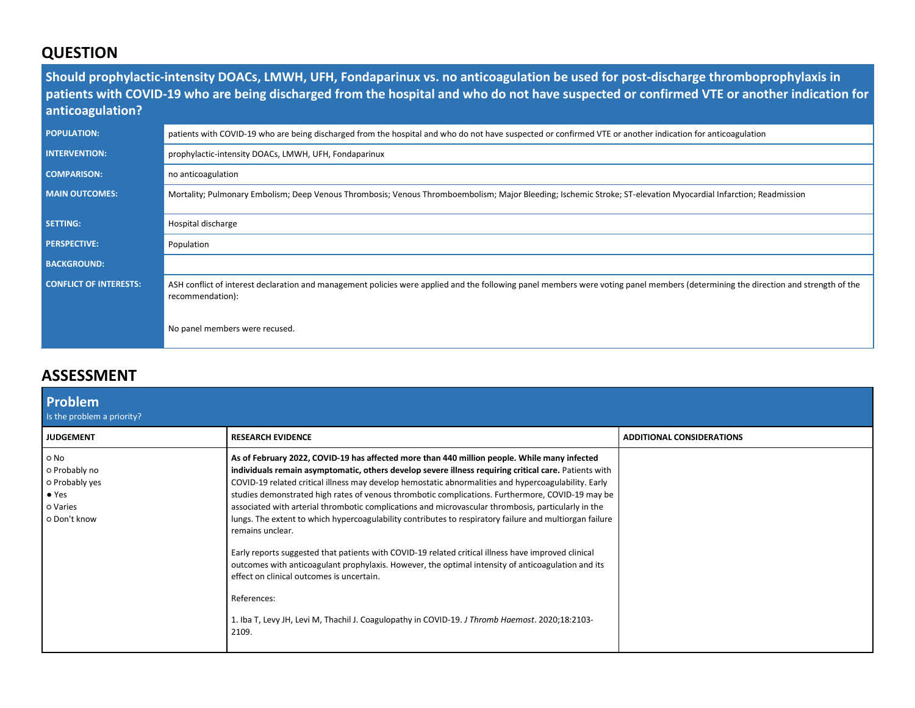## **QUESTION**

**Should prophylactic-intensity DOACs, LMWH, UFH, Fondaparinux vs. no anticoagulation be used for post-discharge thromboprophylaxis in patients with COVID-19 who are being discharged from the hospital and who do not have suspected or confirmed VTE or another indication for anticoagulation?**

| <b>POPULATION:</b>            | patients with COVID-19 who are being discharged from the hospital and who do not have suspected or confirmed VTE or another indication for anticoagulation                                             |
|-------------------------------|--------------------------------------------------------------------------------------------------------------------------------------------------------------------------------------------------------|
| <b>INTERVENTION:</b>          | prophylactic-intensity DOACs, LMWH, UFH, Fondaparinux                                                                                                                                                  |
| <b>COMPARISON:</b>            | no anticoagulation                                                                                                                                                                                     |
| <b>MAIN OUTCOMES:</b>         | Mortality; Pulmonary Embolism; Deep Venous Thrombosis; Venous Thromboembolism; Major Bleeding; Ischemic Stroke; ST-elevation Myocardial Infarction; Readmission                                        |
|                               |                                                                                                                                                                                                        |
| <b>SETTING:</b>               | Hospital discharge                                                                                                                                                                                     |
| <b>PERSPECTIVE:</b>           | Population                                                                                                                                                                                             |
| <b>BACKGROUND:</b>            |                                                                                                                                                                                                        |
| <b>CONFLICT OF INTERESTS:</b> | ASH conflict of interest declaration and management policies were applied and the following panel members were voting panel members (determining the direction and strength of the<br>recommendation): |
|                               | No panel members were recused.                                                                                                                                                                         |

## **ASSESSMENT**

| <b>Problem</b><br>Is the problem a priority?                                         |                                                                                                                                                                                                                                                                                                                                                                                                                                                                                                                                                                                                                                                                                                                                                                                                                                                                                                                                                                                                                                              |                                  |
|--------------------------------------------------------------------------------------|----------------------------------------------------------------------------------------------------------------------------------------------------------------------------------------------------------------------------------------------------------------------------------------------------------------------------------------------------------------------------------------------------------------------------------------------------------------------------------------------------------------------------------------------------------------------------------------------------------------------------------------------------------------------------------------------------------------------------------------------------------------------------------------------------------------------------------------------------------------------------------------------------------------------------------------------------------------------------------------------------------------------------------------------|----------------------------------|
| <b>JUDGEMENT</b>                                                                     | <b>RESEARCH EVIDENCE</b>                                                                                                                                                                                                                                                                                                                                                                                                                                                                                                                                                                                                                                                                                                                                                                                                                                                                                                                                                                                                                     | <b>ADDITIONAL CONSIDERATIONS</b> |
| o No<br>o Probably no<br>o Probably yes<br>$\bullet$ Yes<br>o Varies<br>o Don't know | As of February 2022, COVID-19 has affected more than 440 million people. While many infected<br>individuals remain asymptomatic, others develop severe illness requiring critical care. Patients with<br>COVID-19 related critical illness may develop hemostatic abnormalities and hypercoagulability. Early<br>studies demonstrated high rates of venous thrombotic complications. Furthermore, COVID-19 may be<br>associated with arterial thrombotic complications and microvascular thrombosis, particularly in the<br>lungs. The extent to which hypercoagulability contributes to respiratory failure and multiorgan failure<br>remains unclear.<br>Early reports suggested that patients with COVID-19 related critical illness have improved clinical<br>outcomes with anticoagulant prophylaxis. However, the optimal intensity of anticoagulation and its<br>effect on clinical outcomes is uncertain.<br>References:<br>1. Iba T, Levy JH, Levi M, Thachil J. Coagulopathy in COVID-19. J Thromb Haemost. 2020;18:2103-<br>2109. |                                  |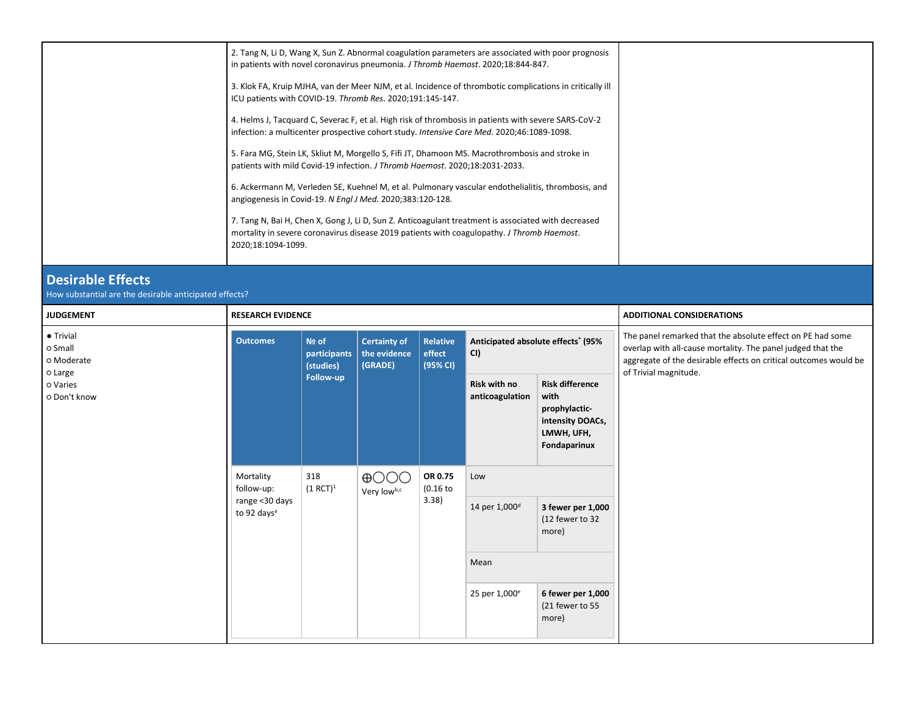|                                               | 3. Klok FA, Kruip MJHA, van der Meer NJM, et al. Incidence of thrombotic complications in critically ill<br>ICU patients with COVID-19. Thromb Res. 2020;191:145-147.                                                   |                                    |                                                |                                       |                                                      |                                                                                                    |                                                                                                                                                                                                                        |  |  |
|-----------------------------------------------|-------------------------------------------------------------------------------------------------------------------------------------------------------------------------------------------------------------------------|------------------------------------|------------------------------------------------|---------------------------------------|------------------------------------------------------|----------------------------------------------------------------------------------------------------|------------------------------------------------------------------------------------------------------------------------------------------------------------------------------------------------------------------------|--|--|
|                                               | 4. Helms J, Tacquard C, Severac F, et al. High risk of thrombosis in patients with severe SARS-CoV-2<br>infection: a multicenter prospective cohort study. Intensive Care Med. 2020;46:1089-1098.                       |                                    |                                                |                                       |                                                      |                                                                                                    |                                                                                                                                                                                                                        |  |  |
|                                               | 5. Fara MG, Stein LK, Skliut M, Morgello S, Fifi JT, Dhamoon MS. Macrothrombosis and stroke in<br>patients with mild Covid-19 infection. J Thromb Haemost. 2020;18:2031-2033.                                           |                                    |                                                |                                       |                                                      |                                                                                                    |                                                                                                                                                                                                                        |  |  |
|                                               | angiogenesis in Covid-19. N Engl J Med. 2020;383:120-128.                                                                                                                                                               |                                    |                                                |                                       |                                                      | 6. Ackermann M, Verleden SE, Kuehnel M, et al. Pulmonary vascular endothelialitis, thrombosis, and |                                                                                                                                                                                                                        |  |  |
|                                               | 7. Tang N, Bai H, Chen X, Gong J, Li D, Sun Z. Anticoagulant treatment is associated with decreased<br>mortality in severe coronavirus disease 2019 patients with coagulopathy. J Thromb Haemost.<br>2020;18:1094-1099. |                                    |                                                |                                       |                                                      |                                                                                                    |                                                                                                                                                                                                                        |  |  |
| <b>Desirable Effects</b>                      | How substantial are the desirable anticipated effects?                                                                                                                                                                  |                                    |                                                |                                       |                                                      |                                                                                                    |                                                                                                                                                                                                                        |  |  |
| <b>JUDGEMENT</b>                              | <b>RESEARCH EVIDENCE</b>                                                                                                                                                                                                |                                    |                                                |                                       |                                                      |                                                                                                    | <b>ADDITIONAL CONSIDERATIONS</b>                                                                                                                                                                                       |  |  |
| • Trivial<br>o Small<br>o Moderate<br>o Large | <b>Outcomes</b>                                                                                                                                                                                                         | Nº of<br>participants<br>(studies) | <b>Certainty of</b><br>the evidence<br>(GRADE) | <b>Relative</b><br>effect<br>(95% CI) | Anticipated absolute effects <sup>*</sup> (95%<br>CI |                                                                                                    | The panel remarked that the absolute effect on PE had some<br>overlap with all-cause mortality. The panel judged that the<br>aggregate of the desirable effects on critical outcomes would be<br>of Trivial magnitude. |  |  |
| o Varies<br>o Don't know                      |                                                                                                                                                                                                                         | Follow-up                          |                                                |                                       | Risk with no<br>anticoagulation                      | <b>Risk difference</b><br>with<br>prophylactic-<br>intensity DOACs,<br>LMWH, UFH,<br>Fondaparinux  |                                                                                                                                                                                                                        |  |  |
|                                               | Mortality<br>follow-up:                                                                                                                                                                                                 | 318<br>$(1 RCT)^1$                 | $\bigoplus$ OOO<br>Very lowb,c                 | OR 0.75<br>(0.16)                     | Low                                                  |                                                                                                    |                                                                                                                                                                                                                        |  |  |
|                                               | range <30 days<br>to 92 days <sup>a</sup>                                                                                                                                                                               |                                    |                                                | 3.38)                                 | 14 per 1,000 <sup>d</sup>                            | 3 fewer per 1,000<br>(12 fewer to 32<br>more)                                                      |                                                                                                                                                                                                                        |  |  |
|                                               |                                                                                                                                                                                                                         |                                    |                                                |                                       | Mean                                                 |                                                                                                    |                                                                                                                                                                                                                        |  |  |
|                                               |                                                                                                                                                                                                                         |                                    |                                                |                                       | 25 per 1,000 <sup>e</sup>                            | 6 fewer per 1,000<br>(21 fewer to 55                                                               |                                                                                                                                                                                                                        |  |  |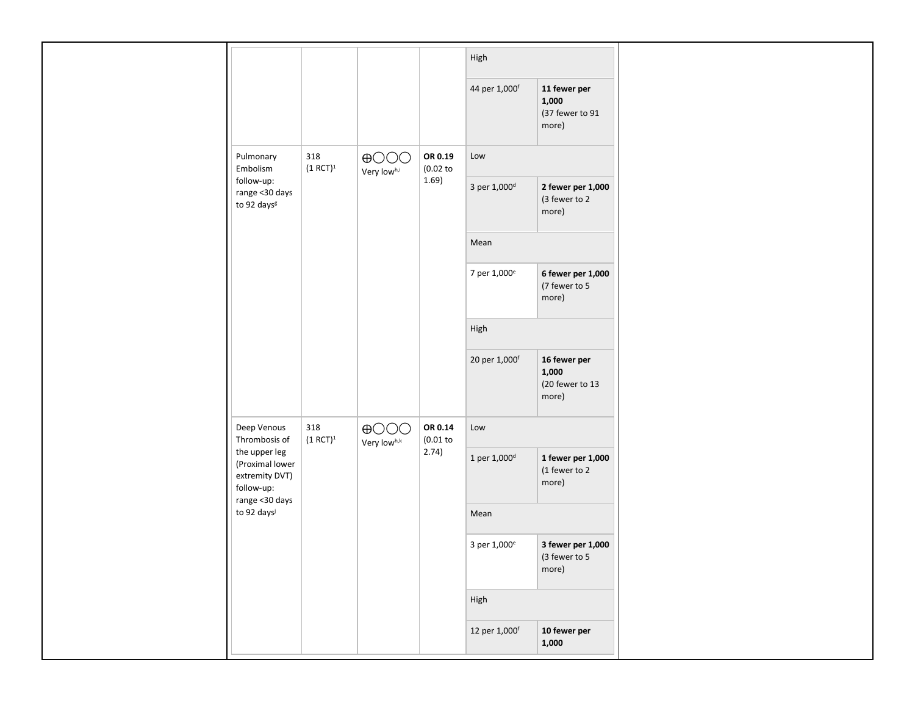|                                                                                                   |                    |                                |                       | High                      |                                                   |  |
|---------------------------------------------------------------------------------------------------|--------------------|--------------------------------|-----------------------|---------------------------|---------------------------------------------------|--|
|                                                                                                   |                    |                                |                       | 44 per 1,000 <sup>f</sup> | 11 fewer per<br>1,000<br>(37 fewer to 91<br>more) |  |
| Pulmonary<br>Embolism                                                                             | 318<br>$(1 RCT)^1$ | $\bigoplus$ OOO<br>Very lowh,i | OR 0.19<br>$(0.02$ to | Low                       |                                                   |  |
| follow-up:<br>range < 30 days<br>to 92 days <sup>g</sup>                                          |                    |                                | 1.69)                 | 3 per 1,000 <sup>d</sup>  | 2 fewer per 1,000<br>(3 fewer to 2<br>more)       |  |
|                                                                                                   |                    |                                |                       | Mean                      |                                                   |  |
|                                                                                                   |                    |                                |                       | 7 per 1,000 <sup>e</sup>  | 6 fewer per 1,000<br>(7 fewer to 5<br>more)       |  |
|                                                                                                   |                    |                                |                       | High                      |                                                   |  |
|                                                                                                   |                    |                                |                       | 20 per 1,000 <sup>f</sup> | 16 fewer per<br>1,000<br>(20 fewer to 13<br>more) |  |
| Deep Venous<br>Thrombosis of                                                                      | 318<br>$(1 RCT)^1$ | $\bigoplus$ OOO<br>Very lowh,k | OR 0.14<br>$(0.01$ to | Low                       |                                                   |  |
| the upper leg<br>(Proximal lower<br>extremity DVT)<br>follow-up:<br>range <30 days<br>to 92 daysi |                    |                                | 2.74)                 | 1 per $1,000^d$           | 1 fewer per 1,000<br>(1 fewer to 2<br>more)       |  |
|                                                                                                   |                    |                                |                       | Mean                      |                                                   |  |
|                                                                                                   |                    |                                |                       | 3 per 1,000 <sup>e</sup>  | 3 fewer per 1,000<br>(3 fewer to 5<br>more)       |  |
|                                                                                                   |                    |                                |                       |                           | High                                              |  |
|                                                                                                   |                    |                                |                       | 12 per 1,000f             | 10 fewer per<br>1,000                             |  |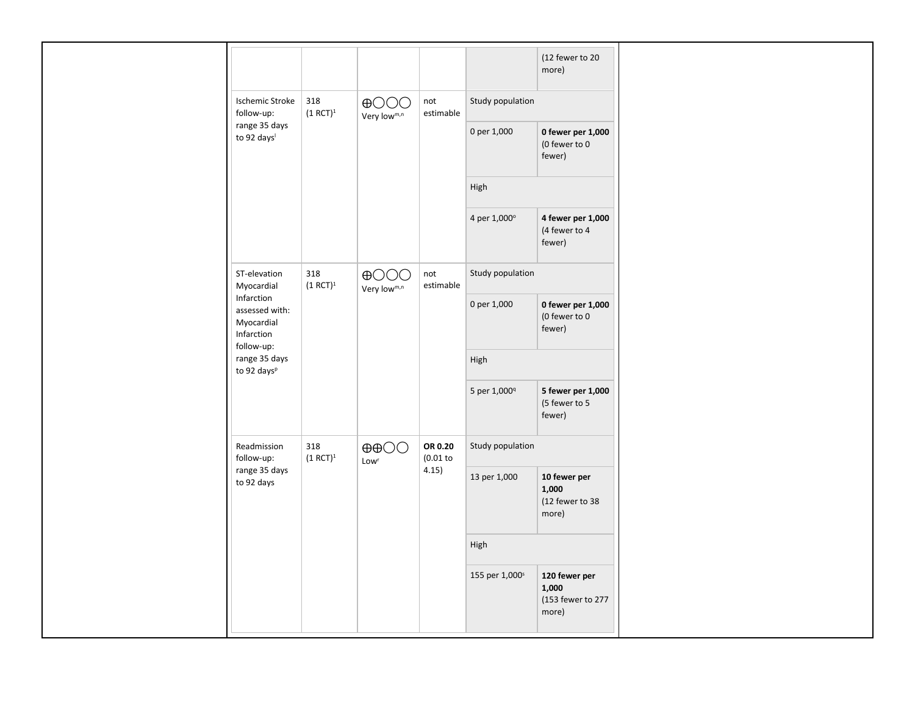| (12 fewer to 20<br>more)<br>318<br><b>Ischemic Stroke</b><br>Study population<br>$\bigoplus$ OOO<br>not<br>follow-up:<br>$(1 RCT)^1$<br>estimable<br>Very lowm,n<br>range 35 days<br>0 per 1,000<br>0 fewer per 1,000<br>to 92 days <sup>1</sup><br>(0 fewer to 0<br>fewer)<br>High |
|-------------------------------------------------------------------------------------------------------------------------------------------------------------------------------------------------------------------------------------------------------------------------------------|
|                                                                                                                                                                                                                                                                                     |
|                                                                                                                                                                                                                                                                                     |
|                                                                                                                                                                                                                                                                                     |
|                                                                                                                                                                                                                                                                                     |
| 4 per 1,000°<br>4 fewer per 1,000<br>(4 fewer to 4<br>fewer)                                                                                                                                                                                                                        |
| ST-elevation<br>318<br>Study population<br>$\bigoplus$ OOO<br>not<br>$(1 RCT)^1$<br>estimable<br>Myocardial<br>Very lowm,n                                                                                                                                                          |
| Infarction<br>0 per 1,000<br>0 fewer per 1,000<br>assessed with:<br>(0 fewer to 0<br>Myocardial<br>fewer)<br>Infarction<br>follow-up:                                                                                                                                               |
| range 35 days<br>High<br>to 92 days <sup>p</sup>                                                                                                                                                                                                                                    |
| 5 per 1,000 <sup>q</sup><br>5 fewer per 1,000<br>(5 fewer to 5<br>fewer)                                                                                                                                                                                                            |
| 318<br>OR 0.20<br>Readmission<br>Study population<br>$\oplus$ $\oplus$<br>$(0.01$ to<br>follow-up:<br>$(1 RCT)^1$<br>Low <sup>r</sup>                                                                                                                                               |
| range 35 days<br>4.15)<br>13 per 1,000<br>10 fewer per<br>to 92 days<br>1,000<br>(12 fewer to 38<br>more)                                                                                                                                                                           |
| High                                                                                                                                                                                                                                                                                |
| 155 per 1,000 <sup>s</sup><br>120 fewer per<br>1,000<br>(153 fewer to 277<br>more)                                                                                                                                                                                                  |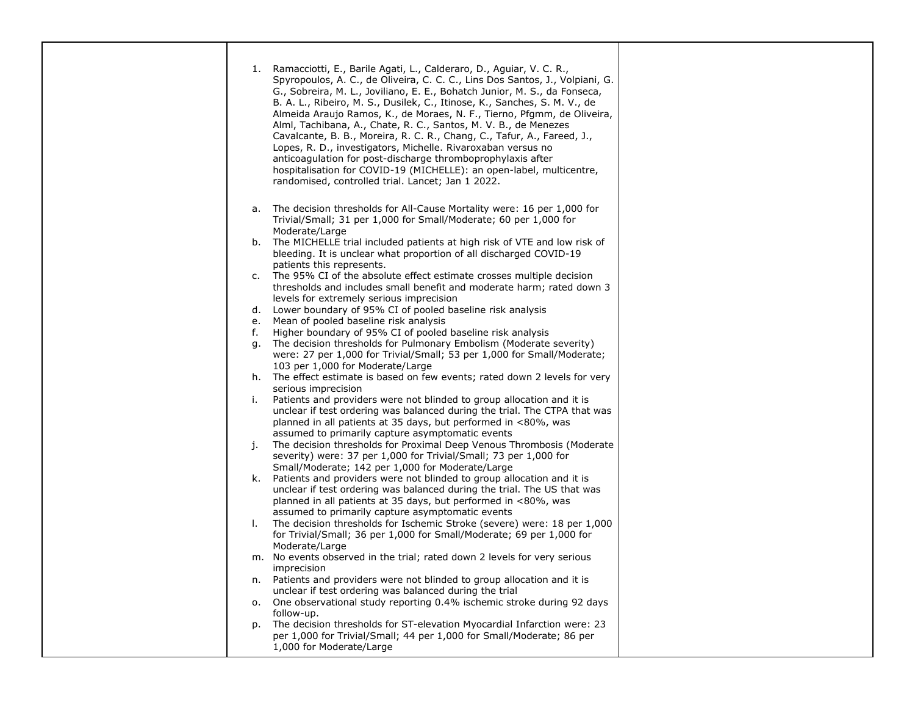| 1. | Ramacciotti, E., Barile Agati, L., Calderaro, D., Aguiar, V. C. R.,<br>Spyropoulos, A. C., de Oliveira, C. C. C., Lins Dos Santos, J., Volpiani, G.<br>G., Sobreira, M. L., Joviliano, E. E., Bohatch Junior, M. S., da Fonseca,<br>B. A. L., Ribeiro, M. S., Dusilek, C., Itinose, K., Sanches, S. M. V., de<br>Almeida Araujo Ramos, K., de Moraes, N. F., Tierno, Pfgmm, de Oliveira,<br>Alml, Tachibana, A., Chate, R. C., Santos, M. V. B., de Menezes<br>Cavalcante, B. B., Moreira, R. C. R., Chang, C., Tafur, A., Fareed, J.,<br>Lopes, R. D., investigators, Michelle. Rivaroxaban versus no<br>anticoagulation for post-discharge thromboprophylaxis after<br>hospitalisation for COVID-19 (MICHELLE): an open-label, multicentre,<br>randomised, controlled trial. Lancet; Jan 1 2022. |
|----|----------------------------------------------------------------------------------------------------------------------------------------------------------------------------------------------------------------------------------------------------------------------------------------------------------------------------------------------------------------------------------------------------------------------------------------------------------------------------------------------------------------------------------------------------------------------------------------------------------------------------------------------------------------------------------------------------------------------------------------------------------------------------------------------------|
| a. | The decision thresholds for All-Cause Mortality were: 16 per 1,000 for<br>Trivial/Small; 31 per 1,000 for Small/Moderate; 60 per 1,000 for                                                                                                                                                                                                                                                                                                                                                                                                                                                                                                                                                                                                                                                         |
| b. | Moderate/Large<br>The MICHELLE trial included patients at high risk of VTE and low risk of<br>bleeding. It is unclear what proportion of all discharged COVID-19                                                                                                                                                                                                                                                                                                                                                                                                                                                                                                                                                                                                                                   |
| c. | patients this represents.<br>The 95% CI of the absolute effect estimate crosses multiple decision<br>thresholds and includes small benefit and moderate harm; rated down 3                                                                                                                                                                                                                                                                                                                                                                                                                                                                                                                                                                                                                         |
| d. | levels for extremely serious imprecision<br>Lower boundary of 95% CI of pooled baseline risk analysis                                                                                                                                                                                                                                                                                                                                                                                                                                                                                                                                                                                                                                                                                              |
| е. | Mean of pooled baseline risk analysis                                                                                                                                                                                                                                                                                                                                                                                                                                                                                                                                                                                                                                                                                                                                                              |
| f. | Higher boundary of 95% CI of pooled baseline risk analysis                                                                                                                                                                                                                                                                                                                                                                                                                                                                                                                                                                                                                                                                                                                                         |
| q. | The decision thresholds for Pulmonary Embolism (Moderate severity)                                                                                                                                                                                                                                                                                                                                                                                                                                                                                                                                                                                                                                                                                                                                 |
|    | were: 27 per 1,000 for Trivial/Small; 53 per 1,000 for Small/Moderate;                                                                                                                                                                                                                                                                                                                                                                                                                                                                                                                                                                                                                                                                                                                             |
|    | 103 per 1,000 for Moderate/Large                                                                                                                                                                                                                                                                                                                                                                                                                                                                                                                                                                                                                                                                                                                                                                   |
| h. | The effect estimate is based on few events; rated down 2 levels for very                                                                                                                                                                                                                                                                                                                                                                                                                                                                                                                                                                                                                                                                                                                           |
|    | serious imprecision                                                                                                                                                                                                                                                                                                                                                                                                                                                                                                                                                                                                                                                                                                                                                                                |
| i. | Patients and providers were not blinded to group allocation and it is                                                                                                                                                                                                                                                                                                                                                                                                                                                                                                                                                                                                                                                                                                                              |
|    | unclear if test ordering was balanced during the trial. The CTPA that was                                                                                                                                                                                                                                                                                                                                                                                                                                                                                                                                                                                                                                                                                                                          |
|    | planned in all patients at 35 days, but performed in <80%, was                                                                                                                                                                                                                                                                                                                                                                                                                                                                                                                                                                                                                                                                                                                                     |
|    | assumed to primarily capture asymptomatic events                                                                                                                                                                                                                                                                                                                                                                                                                                                                                                                                                                                                                                                                                                                                                   |
| j. | The decision thresholds for Proximal Deep Venous Thrombosis (Moderate                                                                                                                                                                                                                                                                                                                                                                                                                                                                                                                                                                                                                                                                                                                              |
|    | severity) were: 37 per 1,000 for Trivial/Small; 73 per 1,000 for<br>Small/Moderate; 142 per 1,000 for Moderate/Large                                                                                                                                                                                                                                                                                                                                                                                                                                                                                                                                                                                                                                                                               |
| k. | Patients and providers were not blinded to group allocation and it is                                                                                                                                                                                                                                                                                                                                                                                                                                                                                                                                                                                                                                                                                                                              |
|    | unclear if test ordering was balanced during the trial. The US that was                                                                                                                                                                                                                                                                                                                                                                                                                                                                                                                                                                                                                                                                                                                            |
|    | planned in all patients at 35 days, but performed in <80%, was                                                                                                                                                                                                                                                                                                                                                                                                                                                                                                                                                                                                                                                                                                                                     |
|    | assumed to primarily capture asymptomatic events                                                                                                                                                                                                                                                                                                                                                                                                                                                                                                                                                                                                                                                                                                                                                   |
| I. | The decision thresholds for Ischemic Stroke (severe) were: 18 per 1,000                                                                                                                                                                                                                                                                                                                                                                                                                                                                                                                                                                                                                                                                                                                            |
|    | for Trivial/Small; 36 per 1,000 for Small/Moderate; 69 per 1,000 for                                                                                                                                                                                                                                                                                                                                                                                                                                                                                                                                                                                                                                                                                                                               |
|    | Moderate/Large                                                                                                                                                                                                                                                                                                                                                                                                                                                                                                                                                                                                                                                                                                                                                                                     |
|    | m. No events observed in the trial; rated down 2 levels for very serious                                                                                                                                                                                                                                                                                                                                                                                                                                                                                                                                                                                                                                                                                                                           |
|    | imprecision                                                                                                                                                                                                                                                                                                                                                                                                                                                                                                                                                                                                                                                                                                                                                                                        |
| n. | Patients and providers were not blinded to group allocation and it is                                                                                                                                                                                                                                                                                                                                                                                                                                                                                                                                                                                                                                                                                                                              |
|    | unclear if test ordering was balanced during the trial                                                                                                                                                                                                                                                                                                                                                                                                                                                                                                                                                                                                                                                                                                                                             |
| о. | One observational study reporting 0.4% ischemic stroke during 92 days                                                                                                                                                                                                                                                                                                                                                                                                                                                                                                                                                                                                                                                                                                                              |
|    | follow-up.                                                                                                                                                                                                                                                                                                                                                                                                                                                                                                                                                                                                                                                                                                                                                                                         |
| p. | The decision thresholds for ST-elevation Myocardial Infarction were: 23                                                                                                                                                                                                                                                                                                                                                                                                                                                                                                                                                                                                                                                                                                                            |
|    | per 1,000 for Trivial/Small; 44 per 1,000 for Small/Moderate; 86 per                                                                                                                                                                                                                                                                                                                                                                                                                                                                                                                                                                                                                                                                                                                               |
|    | 1,000 for Moderate/Large                                                                                                                                                                                                                                                                                                                                                                                                                                                                                                                                                                                                                                                                                                                                                                           |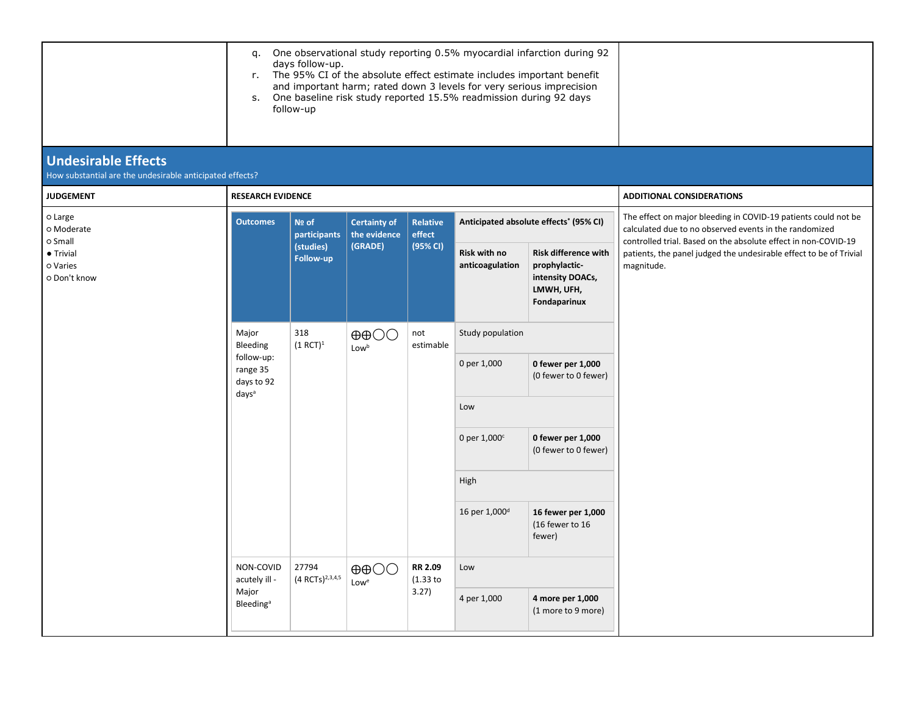|                                                                                        | q.<br>r.                                                                                                     | days follow-up.<br>follow-up         | One observational study reporting 0.5% myocardial infarction during 92<br>The 95% CI of the absolute effect estimate includes important benefit<br>and important harm; rated down 3 levels for very serious imprecision<br>s. One baseline risk study reported 15.5% readmission during 92 days |                                       |                                 |                                                                                                |                                                                                                                                                                                            |
|----------------------------------------------------------------------------------------|--------------------------------------------------------------------------------------------------------------|--------------------------------------|-------------------------------------------------------------------------------------------------------------------------------------------------------------------------------------------------------------------------------------------------------------------------------------------------|---------------------------------------|---------------------------------|------------------------------------------------------------------------------------------------|--------------------------------------------------------------------------------------------------------------------------------------------------------------------------------------------|
| <b>Undesirable Effects</b><br>How substantial are the undesirable anticipated effects? |                                                                                                              |                                      |                                                                                                                                                                                                                                                                                                 |                                       |                                 |                                                                                                |                                                                                                                                                                                            |
| <b>JUDGEMENT</b>                                                                       | <b>RESEARCH EVIDENCE</b>                                                                                     |                                      |                                                                                                                                                                                                                                                                                                 |                                       |                                 |                                                                                                | <b>ADDITIONAL CONSIDERATIONS</b>                                                                                                                                                           |
| o Large<br>o Moderate                                                                  | <b>Outcomes</b><br>Nº of                                                                                     | participants                         | <b>Certainty of</b><br>the evidence<br>(GRADE)                                                                                                                                                                                                                                                  | <b>Relative</b><br>effect<br>(95% CI) |                                 | Anticipated absolute effects <sup>*</sup> (95% CI)                                             | The effect on major bleeding in COVID-19 patients could not be<br>calculated due to no observed events in the randomized<br>controlled trial. Based on the absolute effect in non-COVID-19 |
| o Small<br>• Trivial<br>o Varies<br>o Don't know                                       |                                                                                                              | (studies)<br>Follow-up               |                                                                                                                                                                                                                                                                                                 |                                       | Risk with no<br>anticoagulation | <b>Risk difference with</b><br>prophylactic-<br>intensity DOACs,<br>LMWH, UFH,<br>Fondaparinux | patients, the panel judged the undesirable effect to be of Trivial<br>magnitude.                                                                                                           |
|                                                                                        | Major<br>Bleeding<br>follow-up:<br>range 35<br>days to 92<br>days <sup>a</sup><br>NON-COVID<br>acutely ill - | 318<br>$(1 RCT)^1$                   | $\oplus$ $\oplus$<br>Lowb                                                                                                                                                                                                                                                                       | not<br>estimable                      | Study population                |                                                                                                |                                                                                                                                                                                            |
|                                                                                        |                                                                                                              |                                      |                                                                                                                                                                                                                                                                                                 |                                       | 0 per 1,000                     | 0 fewer per 1,000<br>(0 fewer to 0 fewer)                                                      |                                                                                                                                                                                            |
|                                                                                        |                                                                                                              |                                      |                                                                                                                                                                                                                                                                                                 |                                       | Low                             |                                                                                                |                                                                                                                                                                                            |
|                                                                                        |                                                                                                              |                                      |                                                                                                                                                                                                                                                                                                 |                                       | 0 per $1,000^{\circ}$           | 0 fewer per 1,000<br>(0 fewer to 0 fewer)                                                      |                                                                                                                                                                                            |
|                                                                                        |                                                                                                              |                                      |                                                                                                                                                                                                                                                                                                 |                                       | High                            |                                                                                                |                                                                                                                                                                                            |
|                                                                                        |                                                                                                              |                                      |                                                                                                                                                                                                                                                                                                 |                                       | 16 per 1,000 <sup>d</sup>       | 16 fewer per 1,000<br>(16 fewer to 16<br>fewer)                                                |                                                                                                                                                                                            |
|                                                                                        |                                                                                                              | 27794<br>(4 RCTs) <sup>2,3,4,5</sup> | $\oplus$ $\oplus$<br>Lowe                                                                                                                                                                                                                                                                       | RR 2.09<br>$(1.33)$ to                | Low                             |                                                                                                |                                                                                                                                                                                            |
|                                                                                        | Major<br><b>Bleeding</b> <sup>a</sup>                                                                        |                                      |                                                                                                                                                                                                                                                                                                 | 3.27)                                 | 4 per 1,000                     | 4 more per 1,000<br>(1 more to 9 more)                                                         |                                                                                                                                                                                            |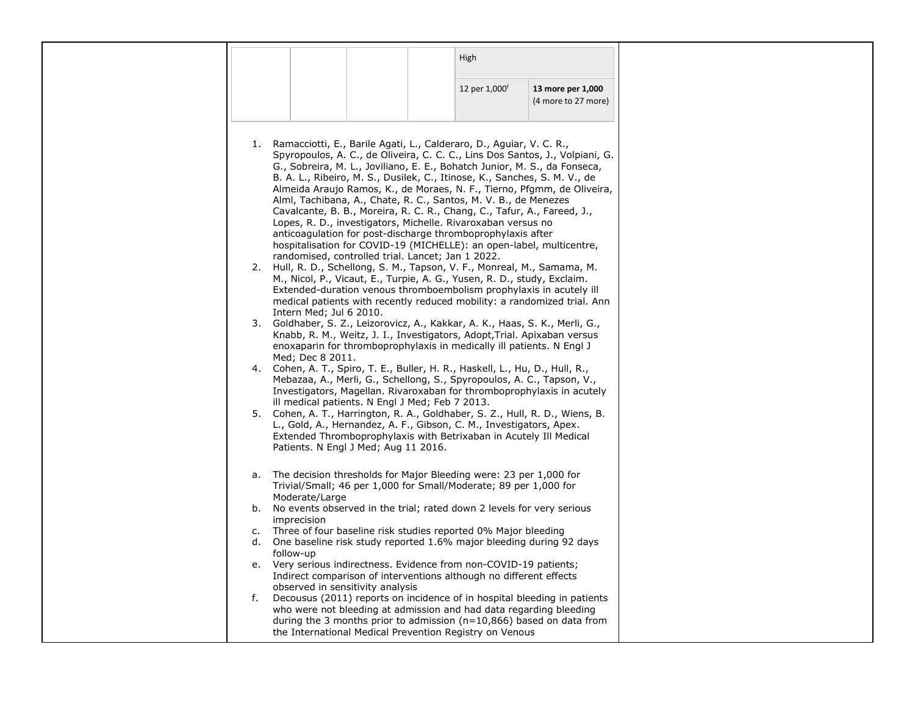|                                                                                                                                                      | High          |                     |
|------------------------------------------------------------------------------------------------------------------------------------------------------|---------------|---------------------|
|                                                                                                                                                      |               |                     |
|                                                                                                                                                      | 12 per 1,000f | 13 more per 1,000   |
|                                                                                                                                                      |               | (4 more to 27 more) |
|                                                                                                                                                      |               |                     |
|                                                                                                                                                      |               |                     |
| 1. Ramacciotti, E., Barile Agati, L., Calderaro, D., Aguiar, V. C. R.,                                                                               |               |                     |
| Spyropoulos, A. C., de Oliveira, C. C. C., Lins Dos Santos, J., Volpiani, G.                                                                         |               |                     |
| G., Sobreira, M. L., Joviliano, E. E., Bohatch Junior, M. S., da Fonseca,                                                                            |               |                     |
| B. A. L., Ribeiro, M. S., Dusilek, C., Itinose, K., Sanches, S. M. V., de<br>Almeida Araujo Ramos, K., de Moraes, N. F., Tierno, Pfgmm, de Oliveira, |               |                     |
| Alml, Tachibana, A., Chate, R. C., Santos, M. V. B., de Menezes                                                                                      |               |                     |
| Cavalcante, B. B., Moreira, R. C. R., Chang, C., Tafur, A., Fareed, J.,                                                                              |               |                     |
| Lopes, R. D., investigators, Michelle. Rivaroxaban versus no                                                                                         |               |                     |
| anticoagulation for post-discharge thromboprophylaxis after                                                                                          |               |                     |
| hospitalisation for COVID-19 (MICHELLE): an open-label, multicentre,<br>randomised, controlled trial. Lancet; Jan 1 2022.                            |               |                     |
| 2. Hull, R. D., Schellong, S. M., Tapson, V. F., Monreal, M., Samama, M.                                                                             |               |                     |
| M., Nicol, P., Vicaut, E., Turpie, A. G., Yusen, R. D., study, Exclaim.                                                                              |               |                     |
| Extended-duration venous thromboembolism prophylaxis in acutely ill                                                                                  |               |                     |
| medical patients with recently reduced mobility: a randomized trial. Ann<br>Intern Med; Jul 6 2010.                                                  |               |                     |
| 3. Goldhaber, S. Z., Leizorovicz, A., Kakkar, A. K., Haas, S. K., Merli, G.,                                                                         |               |                     |
| Knabb, R. M., Weitz, J. I., Investigators, Adopt, Trial. Apixaban versus                                                                             |               |                     |
| enoxaparin for thromboprophylaxis in medically ill patients. N Engl J                                                                                |               |                     |
| Med; Dec 8 2011.<br>4. Cohen, A. T., Spiro, T. E., Buller, H. R., Haskell, L., Hu, D., Hull, R.,                                                     |               |                     |
| Mebazaa, A., Merli, G., Schellong, S., Spyropoulos, A. C., Tapson, V.,                                                                               |               |                     |
| Investigators, Magellan. Rivaroxaban for thromboprophylaxis in acutely                                                                               |               |                     |
| ill medical patients. N Engl J Med; Feb 7 2013.                                                                                                      |               |                     |
| 5. Cohen, A. T., Harrington, R. A., Goldhaber, S. Z., Hull, R. D., Wiens, B.                                                                         |               |                     |
| L., Gold, A., Hernandez, A. F., Gibson, C. M., Investigators, Apex.                                                                                  |               |                     |
| Extended Thromboprophylaxis with Betrixaban in Acutely Ill Medical<br>Patients. N Engl J Med; Aug 11 2016.                                           |               |                     |
|                                                                                                                                                      |               |                     |
| The decision thresholds for Major Bleeding were: 23 per 1,000 for<br>а.                                                                              |               |                     |
| Trivial/Small; 46 per 1,000 for Small/Moderate; 89 per 1,000 for                                                                                     |               |                     |
| Moderate/Large                                                                                                                                       |               |                     |
| b. No events observed in the trial; rated down 2 levels for very serious                                                                             |               |                     |
| imprecision<br>Three of four baseline risk studies reported 0% Major bleeding<br>c.                                                                  |               |                     |
| One baseline risk study reported 1.6% major bleeding during 92 days<br>d.                                                                            |               |                     |
| follow-up                                                                                                                                            |               |                     |
| e. Very serious indirectness. Evidence from non-COVID-19 patients;                                                                                   |               |                     |
| Indirect comparison of interventions although no different effects                                                                                   |               |                     |
| observed in sensitivity analysis<br>Decousus (2011) reports on incidence of in hospital bleeding in patients<br>f.                                   |               |                     |
| who were not bleeding at admission and had data regarding bleeding                                                                                   |               |                     |
| during the 3 months prior to admission ( $n=10,866$ ) based on data from                                                                             |               |                     |
| the International Medical Prevention Registry on Venous                                                                                              |               |                     |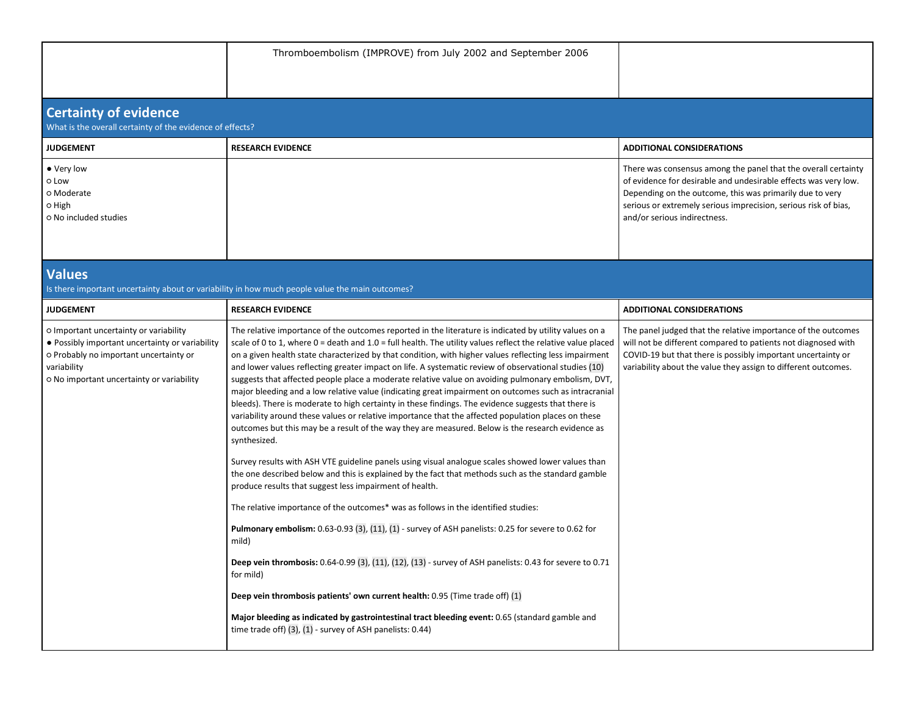|                                                                                                                                                                                                 | Thromboembolism (IMPROVE) from July 2002 and September 2006                                                                                                                                                                                                                                                                                                                                                                                                                                                                                                                                                                                                                                                                                                                                                                                                                                                                                                                                                                                                                                                                                                                                                                                                                                                                                                                                                                                                                  |                                                                                                                                                                                                                                                                                                  |
|-------------------------------------------------------------------------------------------------------------------------------------------------------------------------------------------------|------------------------------------------------------------------------------------------------------------------------------------------------------------------------------------------------------------------------------------------------------------------------------------------------------------------------------------------------------------------------------------------------------------------------------------------------------------------------------------------------------------------------------------------------------------------------------------------------------------------------------------------------------------------------------------------------------------------------------------------------------------------------------------------------------------------------------------------------------------------------------------------------------------------------------------------------------------------------------------------------------------------------------------------------------------------------------------------------------------------------------------------------------------------------------------------------------------------------------------------------------------------------------------------------------------------------------------------------------------------------------------------------------------------------------------------------------------------------------|--------------------------------------------------------------------------------------------------------------------------------------------------------------------------------------------------------------------------------------------------------------------------------------------------|
| <b>Certainty of evidence</b><br>What is the overall certainty of the evidence of effects?                                                                                                       |                                                                                                                                                                                                                                                                                                                                                                                                                                                                                                                                                                                                                                                                                                                                                                                                                                                                                                                                                                                                                                                                                                                                                                                                                                                                                                                                                                                                                                                                              |                                                                                                                                                                                                                                                                                                  |
| <b>JUDGEMENT</b>                                                                                                                                                                                | <b>RESEARCH EVIDENCE</b>                                                                                                                                                                                                                                                                                                                                                                                                                                                                                                                                                                                                                                                                                                                                                                                                                                                                                                                                                                                                                                                                                                                                                                                                                                                                                                                                                                                                                                                     | <b>ADDITIONAL CONSIDERATIONS</b>                                                                                                                                                                                                                                                                 |
| • Very low<br>o Low<br>o Moderate<br>0 High<br>O No included studies                                                                                                                            |                                                                                                                                                                                                                                                                                                                                                                                                                                                                                                                                                                                                                                                                                                                                                                                                                                                                                                                                                                                                                                                                                                                                                                                                                                                                                                                                                                                                                                                                              | There was consensus among the panel that the overall certainty<br>of evidence for desirable and undesirable effects was very low.<br>Depending on the outcome, this was primarily due to very<br>serious or extremely serious imprecision, serious risk of bias,<br>and/or serious indirectness. |
| <b>Values</b>                                                                                                                                                                                   | Is there important uncertainty about or variability in how much people value the main outcomes?                                                                                                                                                                                                                                                                                                                                                                                                                                                                                                                                                                                                                                                                                                                                                                                                                                                                                                                                                                                                                                                                                                                                                                                                                                                                                                                                                                              |                                                                                                                                                                                                                                                                                                  |
| <b>JUDGEMENT</b>                                                                                                                                                                                | <b>RESEARCH EVIDENCE</b>                                                                                                                                                                                                                                                                                                                                                                                                                                                                                                                                                                                                                                                                                                                                                                                                                                                                                                                                                                                                                                                                                                                                                                                                                                                                                                                                                                                                                                                     | <b>ADDITIONAL CONSIDERATIONS</b>                                                                                                                                                                                                                                                                 |
| o Important uncertainty or variability<br>• Possibly important uncertainty or variability<br>o Probably no important uncertainty or<br>variability<br>o No important uncertainty or variability | The relative importance of the outcomes reported in the literature is indicated by utility values on a<br>scale of 0 to 1, where $0 =$ death and $1.0 =$ full health. The utility values reflect the relative value placed<br>on a given health state characterized by that condition, with higher values reflecting less impairment<br>and lower values reflecting greater impact on life. A systematic review of observational studies (10)<br>suggests that affected people place a moderate relative value on avoiding pulmonary embolism, DVT,<br>major bleeding and a low relative value (indicating great impairment on outcomes such as intracranial<br>bleeds). There is moderate to high certainty in these findings. The evidence suggests that there is<br>variability around these values or relative importance that the affected population places on these<br>outcomes but this may be a result of the way they are measured. Below is the research evidence as<br>synthesized.<br>Survey results with ASH VTE guideline panels using visual analogue scales showed lower values than<br>the one described below and this is explained by the fact that methods such as the standard gamble<br>produce results that suggest less impairment of health.<br>The relative importance of the outcomes* was as follows in the identified studies:<br>Pulmonary embolism: 0.63-0.93 (3), (11), (1) - survey of ASH panelists: 0.25 for severe to 0.62 for<br>mild) | The panel judged that the relative importance of the outcomes<br>will not be different compared to patients not diagnosed with<br>COVID-19 but that there is possibly important uncertainty or<br>variability about the value they assign to different outcomes.                                 |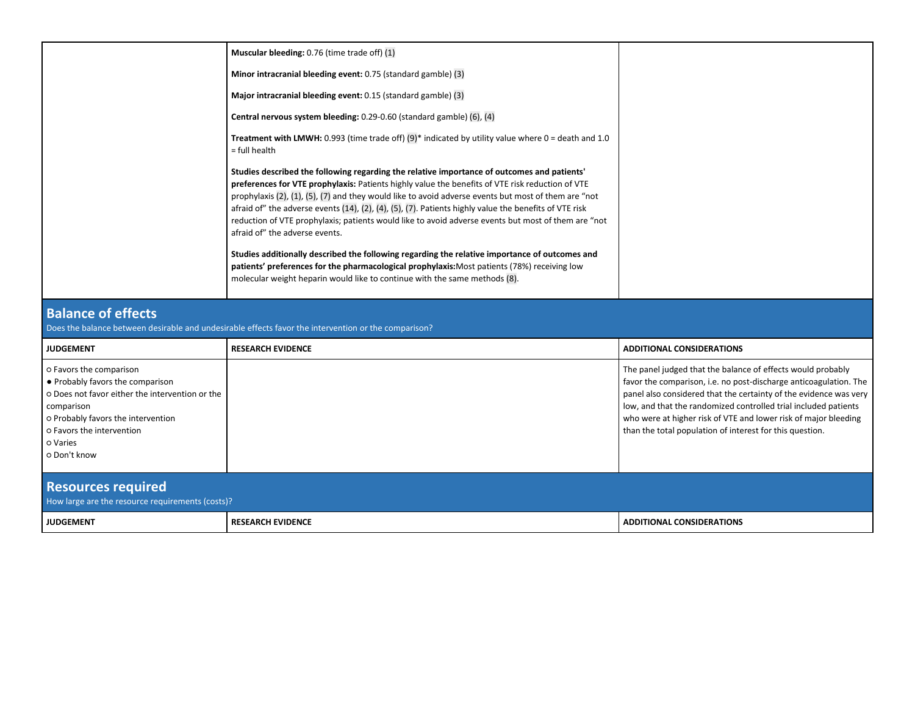| Minor intracranial bleeding event: 0.75 (standard gamble) (3)<br>Major intracranial bleeding event: 0.15 (standard gamble) (3)<br>Central nervous system bleeding: 0.29-0.60 (standard gamble) (6), (4)                                                                                                                                                                                                                                                                                                                                                                   |
|---------------------------------------------------------------------------------------------------------------------------------------------------------------------------------------------------------------------------------------------------------------------------------------------------------------------------------------------------------------------------------------------------------------------------------------------------------------------------------------------------------------------------------------------------------------------------|
|                                                                                                                                                                                                                                                                                                                                                                                                                                                                                                                                                                           |
|                                                                                                                                                                                                                                                                                                                                                                                                                                                                                                                                                                           |
|                                                                                                                                                                                                                                                                                                                                                                                                                                                                                                                                                                           |
| Treatment with LMWH: 0.993 (time trade off) $(9)^*$ indicated by utility value where 0 = death and 1.0<br>= full health                                                                                                                                                                                                                                                                                                                                                                                                                                                   |
| Studies described the following regarding the relative importance of outcomes and patients'<br>preferences for VTE prophylaxis: Patients highly value the benefits of VTE risk reduction of VTE<br>prophylaxis (2), (1), (5), (7) and they would like to avoid adverse events but most of them are "not<br>afraid of" the adverse events $(14)$ , $(2)$ , $(4)$ , $(5)$ , $(7)$ . Patients highly value the benefits of VTE risk<br>reduction of VTE prophylaxis; patients would like to avoid adverse events but most of them are "not<br>afraid of" the adverse events. |
| Studies additionally described the following regarding the relative importance of outcomes and<br>patients' preferences for the pharmacological prophylaxis: Most patients (78%) receiving low<br>molecular weight heparin would like to continue with the same methods (8).                                                                                                                                                                                                                                                                                              |

## **Balance of effects**

| Does the balance between desirable and undesirable effects favor the intervention or the comparison? |
|------------------------------------------------------------------------------------------------------|
|------------------------------------------------------------------------------------------------------|

| <b>JUDGEMENT</b>                                                                                                                                                                                                            | <b>RESEARCH EVIDENCE</b> | <b>ADDITIONAL CONSIDERATIONS</b>                                                                                                                                                                                                                                                                                                                                                                        |  |  |  |  |  |
|-----------------------------------------------------------------------------------------------------------------------------------------------------------------------------------------------------------------------------|--------------------------|---------------------------------------------------------------------------------------------------------------------------------------------------------------------------------------------------------------------------------------------------------------------------------------------------------------------------------------------------------------------------------------------------------|--|--|--|--|--|
| O Favors the comparison<br>• Probably favors the comparison<br>o Does not favor either the intervention or the<br>comparison<br>o Probably favors the intervention<br>O Favors the intervention<br>o Varies<br>o Don't know |                          | The panel judged that the balance of effects would probably<br>favor the comparison, i.e. no post-discharge anticoagulation. The<br>panel also considered that the certainty of the evidence was very<br>low, and that the randomized controlled trial included patients<br>who were at higher risk of VTE and lower risk of major bleeding<br>than the total population of interest for this question. |  |  |  |  |  |
| <b>Resources required</b><br>How large are the resource requirements (costs)?                                                                                                                                               |                          |                                                                                                                                                                                                                                                                                                                                                                                                         |  |  |  |  |  |
| <b>JUDGEMENT</b>                                                                                                                                                                                                            | <b>RESEARCH EVIDENCE</b> | <b>ADDITIONAL CONSIDERATIONS</b>                                                                                                                                                                                                                                                                                                                                                                        |  |  |  |  |  |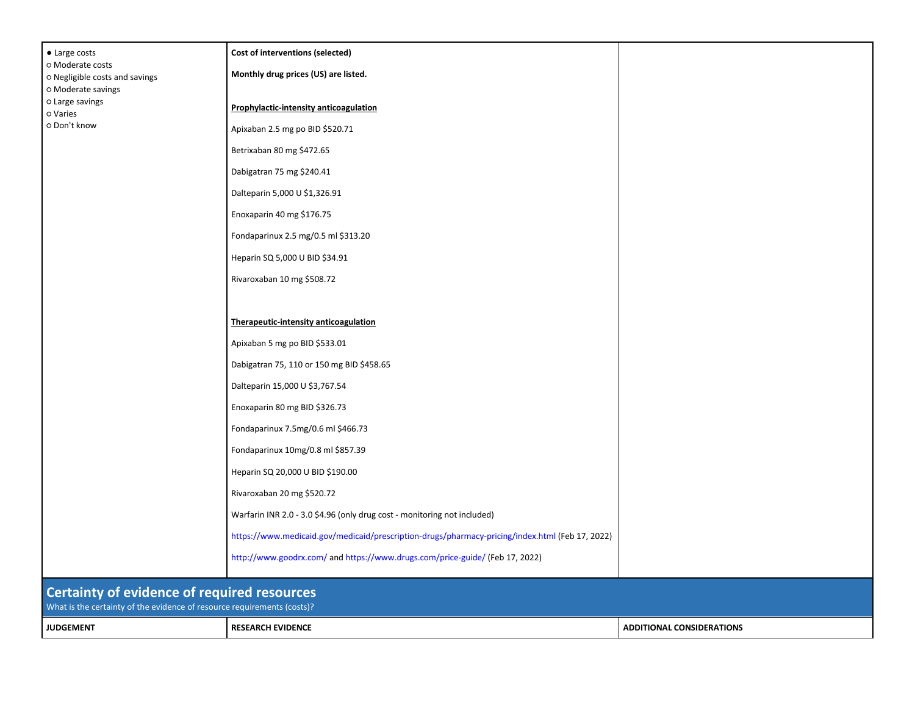|                                                                   | Warfarin INR 2.0 - 3.0 \$4.96 (only drug cost - monitoring not included) |  |
|-------------------------------------------------------------------|--------------------------------------------------------------------------|--|
|                                                                   | Rivaroxaban 20 mg \$520.72                                               |  |
|                                                                   | Heparin SQ 20,000 U BID \$190.00                                         |  |
|                                                                   | Fondaparinux 10mg/0.8 ml \$857.39                                        |  |
|                                                                   | Fondaparinux 7.5mg/0.6 ml \$466.73                                       |  |
|                                                                   | Enoxaparin 80 mg BID \$326.73                                            |  |
|                                                                   | Dalteparin 15,000 U \$3,767.54                                           |  |
|                                                                   | Dabigatran 75, 110 or 150 mg BID \$458.65                                |  |
|                                                                   | Apixaban 5 mg po BID \$533.01                                            |  |
|                                                                   | Therapeutic-intensity anticoagulation                                    |  |
|                                                                   |                                                                          |  |
|                                                                   | Rivaroxaban 10 mg \$508.72                                               |  |
|                                                                   | Heparin SQ 5,000 U BID \$34.91                                           |  |
|                                                                   | Fondaparinux 2.5 mg/0.5 ml \$313.20                                      |  |
|                                                                   | Enoxaparin 40 mg \$176.75                                                |  |
|                                                                   | Dalteparin 5,000 U \$1,326.91                                            |  |
|                                                                   | Dabigatran 75 mg \$240.41                                                |  |
|                                                                   | Betrixaban 80 mg \$472.65                                                |  |
| O Moderate savings<br>o Large savings<br>o Varies<br>o Don't know | Apixaban 2.5 mg po BID \$520.71                                          |  |
|                                                                   | <b>Prophylactic-intensity anticoagulation</b>                            |  |
| o Moderate costs<br>o Negligible costs and savings                | Monthly drug prices (US) are listed.                                     |  |
|                                                                   | Cost of interventions (selected)                                         |  |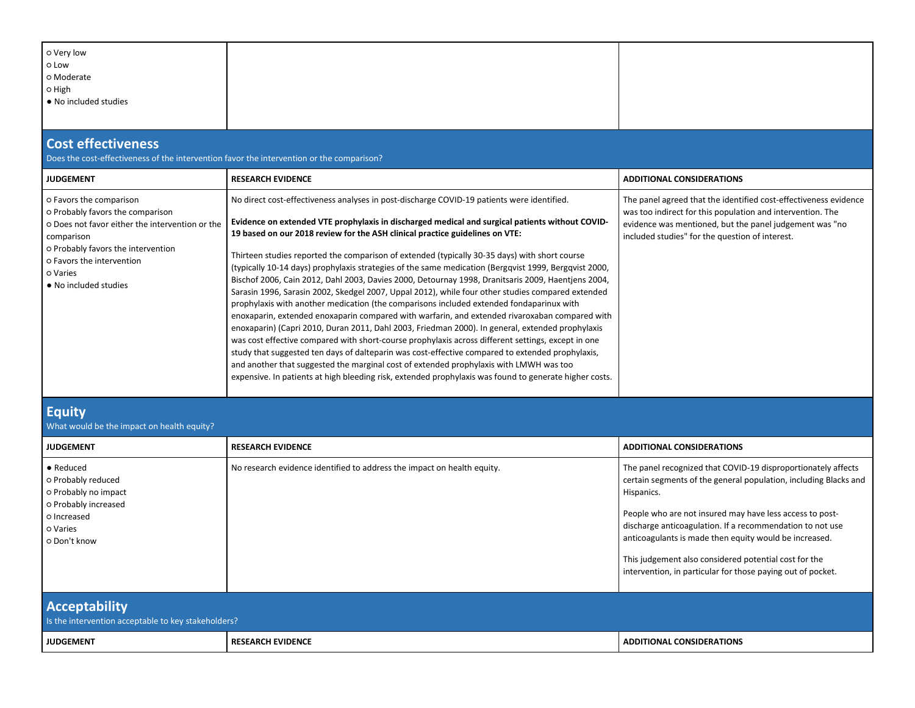| o Very low<br>o Low<br>o Moderate<br>O High<br>• No included studies                                                                                                                                                                 |                                                                                                                                                                                                                                                                                                                                                                                                                                                                                                                                                                                                                                                                                                                                                                                                                                                                                                                                                                                                                                                                                                                                                                                                                                                                                                                                                                                                                    |                                                                                                                                                                                                                                                                                                                                                                                                                                                            |  |  |
|--------------------------------------------------------------------------------------------------------------------------------------------------------------------------------------------------------------------------------------|--------------------------------------------------------------------------------------------------------------------------------------------------------------------------------------------------------------------------------------------------------------------------------------------------------------------------------------------------------------------------------------------------------------------------------------------------------------------------------------------------------------------------------------------------------------------------------------------------------------------------------------------------------------------------------------------------------------------------------------------------------------------------------------------------------------------------------------------------------------------------------------------------------------------------------------------------------------------------------------------------------------------------------------------------------------------------------------------------------------------------------------------------------------------------------------------------------------------------------------------------------------------------------------------------------------------------------------------------------------------------------------------------------------------|------------------------------------------------------------------------------------------------------------------------------------------------------------------------------------------------------------------------------------------------------------------------------------------------------------------------------------------------------------------------------------------------------------------------------------------------------------|--|--|
| <b>Cost effectiveness</b><br>Does the cost-effectiveness of the intervention favor the intervention or the comparison?                                                                                                               |                                                                                                                                                                                                                                                                                                                                                                                                                                                                                                                                                                                                                                                                                                                                                                                                                                                                                                                                                                                                                                                                                                                                                                                                                                                                                                                                                                                                                    |                                                                                                                                                                                                                                                                                                                                                                                                                                                            |  |  |
| <b>JUDGEMENT</b>                                                                                                                                                                                                                     | <b>RESEARCH EVIDENCE</b>                                                                                                                                                                                                                                                                                                                                                                                                                                                                                                                                                                                                                                                                                                                                                                                                                                                                                                                                                                                                                                                                                                                                                                                                                                                                                                                                                                                           | <b>ADDITIONAL CONSIDERATIONS</b>                                                                                                                                                                                                                                                                                                                                                                                                                           |  |  |
| o Favors the comparison<br>o Probably favors the comparison<br>o Does not favor either the intervention or the<br>comparison<br>o Probably favors the intervention<br>o Favors the intervention<br>o Varies<br>• No included studies | No direct cost-effectiveness analyses in post-discharge COVID-19 patients were identified.<br>Evidence on extended VTE prophylaxis in discharged medical and surgical patients without COVID-<br>19 based on our 2018 review for the ASH clinical practice guidelines on VTE:<br>Thirteen studies reported the comparison of extended (typically 30-35 days) with short course<br>(typically 10-14 days) prophylaxis strategies of the same medication (Bergqvist 1999, Bergqvist 2000,<br>Bischof 2006, Cain 2012, Dahl 2003, Davies 2000, Detournay 1998, Dranitsaris 2009, Haentjens 2004,<br>Sarasin 1996, Sarasin 2002, Skedgel 2007, Uppal 2012), while four other studies compared extended<br>prophylaxis with another medication (the comparisons included extended fondaparinux with<br>enoxaparin, extended enoxaparin compared with warfarin, and extended rivaroxaban compared with<br>enoxaparin) (Capri 2010, Duran 2011, Dahl 2003, Friedman 2000). In general, extended prophylaxis<br>was cost effective compared with short-course prophylaxis across different settings, except in one<br>study that suggested ten days of dalteparin was cost-effective compared to extended prophylaxis,<br>and another that suggested the marginal cost of extended prophylaxis with LMWH was too<br>expensive. In patients at high bleeding risk, extended prophylaxis was found to generate higher costs. | The panel agreed that the identified cost-effectiveness evidence<br>was too indirect for this population and intervention. The<br>evidence was mentioned, but the panel judgement was "no<br>included studies" for the question of interest.                                                                                                                                                                                                               |  |  |
| <b>Equity</b><br>What would be the impact on health equity?                                                                                                                                                                          |                                                                                                                                                                                                                                                                                                                                                                                                                                                                                                                                                                                                                                                                                                                                                                                                                                                                                                                                                                                                                                                                                                                                                                                                                                                                                                                                                                                                                    |                                                                                                                                                                                                                                                                                                                                                                                                                                                            |  |  |
| <b>JUDGEMENT</b>                                                                                                                                                                                                                     | <b>RESEARCH EVIDENCE</b>                                                                                                                                                                                                                                                                                                                                                                                                                                                                                                                                                                                                                                                                                                                                                                                                                                                                                                                                                                                                                                                                                                                                                                                                                                                                                                                                                                                           | <b>ADDITIONAL CONSIDERATIONS</b>                                                                                                                                                                                                                                                                                                                                                                                                                           |  |  |
| • Reduced<br>o Probably reduced<br>o Probably no impact<br>o Probably increased<br>o Increased<br>o Varies<br>O Don't know                                                                                                           | No research evidence identified to address the impact on health equity.                                                                                                                                                                                                                                                                                                                                                                                                                                                                                                                                                                                                                                                                                                                                                                                                                                                                                                                                                                                                                                                                                                                                                                                                                                                                                                                                            | The panel recognized that COVID-19 disproportionately affects<br>certain segments of the general population, including Blacks and<br>Hispanics.<br>People who are not insured may have less access to post-<br>discharge anticoagulation. If a recommendation to not use<br>anticoagulants is made then equity would be increased.<br>This judgement also considered potential cost for the<br>intervention, in particular for those paying out of pocket. |  |  |
| <b>Acceptability</b><br>Is the intervention acceptable to key stakeholders?                                                                                                                                                          |                                                                                                                                                                                                                                                                                                                                                                                                                                                                                                                                                                                                                                                                                                                                                                                                                                                                                                                                                                                                                                                                                                                                                                                                                                                                                                                                                                                                                    |                                                                                                                                                                                                                                                                                                                                                                                                                                                            |  |  |
| <b>JUDGEMENT</b>                                                                                                                                                                                                                     | <b>RESEARCH EVIDENCE</b>                                                                                                                                                                                                                                                                                                                                                                                                                                                                                                                                                                                                                                                                                                                                                                                                                                                                                                                                                                                                                                                                                                                                                                                                                                                                                                                                                                                           | <b>ADDITIONAL CONSIDERATIONS</b>                                                                                                                                                                                                                                                                                                                                                                                                                           |  |  |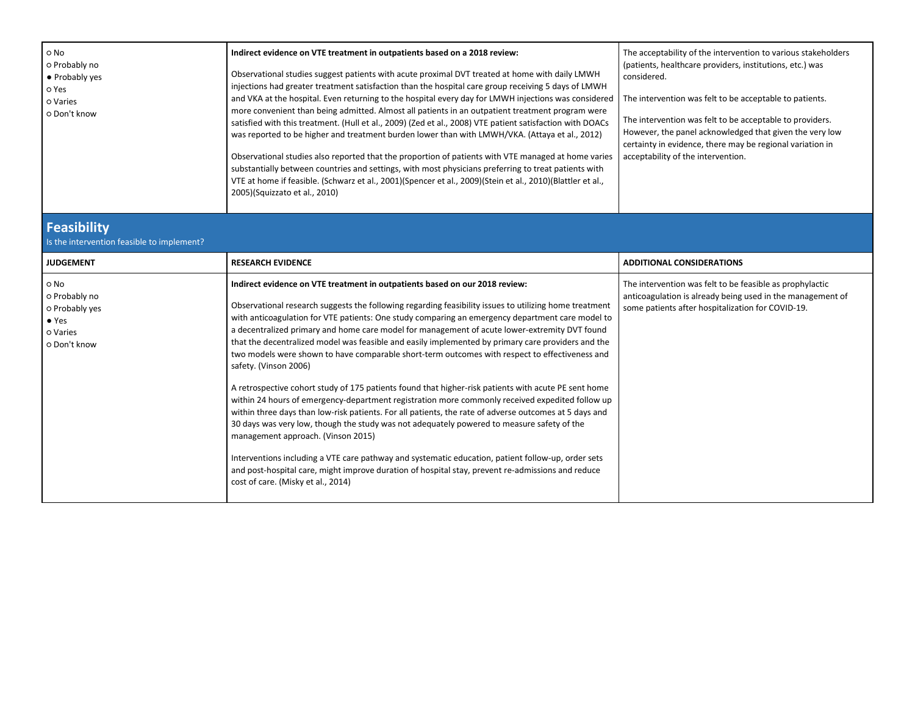| o No<br>o Probably no<br>• Probably yes<br>o Yes<br>o Varies<br>O Don't know         | Indirect evidence on VTE treatment in outpatients based on a 2018 review:<br>Observational studies suggest patients with acute proximal DVT treated at home with daily LMWH<br>injections had greater treatment satisfaction than the hospital care group receiving 5 days of LMWH<br>and VKA at the hospital. Even returning to the hospital every day for LMWH injections was considered<br>more convenient than being admitted. Almost all patients in an outpatient treatment program were<br>satisfied with this treatment. (Hull et al., 2009) (Zed et al., 2008) VTE patient satisfaction with DOACs<br>was reported to be higher and treatment burden lower than with LMWH/VKA. (Attaya et al., 2012)<br>Observational studies also reported that the proportion of patients with VTE managed at home varies<br>substantially between countries and settings, with most physicians preferring to treat patients with<br>VTE at home if feasible. (Schwarz et al., 2001)(Spencer et al., 2009)(Stein et al., 2010)(Blattler et al.,<br>2005)(Squizzato et al., 2010)                                                                                                                                                                                                                                                           | The acceptability of the intervention to various stakeholders<br>(patients, healthcare providers, institutions, etc.) was<br>considered.<br>The intervention was felt to be acceptable to patients.<br>The intervention was felt to be acceptable to providers.<br>However, the panel acknowledged that given the very low<br>certainty in evidence, there may be regional variation in<br>acceptability of the intervention. |
|--------------------------------------------------------------------------------------|---------------------------------------------------------------------------------------------------------------------------------------------------------------------------------------------------------------------------------------------------------------------------------------------------------------------------------------------------------------------------------------------------------------------------------------------------------------------------------------------------------------------------------------------------------------------------------------------------------------------------------------------------------------------------------------------------------------------------------------------------------------------------------------------------------------------------------------------------------------------------------------------------------------------------------------------------------------------------------------------------------------------------------------------------------------------------------------------------------------------------------------------------------------------------------------------------------------------------------------------------------------------------------------------------------------------------------------|-------------------------------------------------------------------------------------------------------------------------------------------------------------------------------------------------------------------------------------------------------------------------------------------------------------------------------------------------------------------------------------------------------------------------------|
| Feasibility<br>Is the intervention feasible to implement?                            |                                                                                                                                                                                                                                                                                                                                                                                                                                                                                                                                                                                                                                                                                                                                                                                                                                                                                                                                                                                                                                                                                                                                                                                                                                                                                                                                       |                                                                                                                                                                                                                                                                                                                                                                                                                               |
| <b>JUDGEMENT</b>                                                                     | <b>RESEARCH EVIDENCE</b>                                                                                                                                                                                                                                                                                                                                                                                                                                                                                                                                                                                                                                                                                                                                                                                                                                                                                                                                                                                                                                                                                                                                                                                                                                                                                                              | <b>ADDITIONAL CONSIDERATIONS</b>                                                                                                                                                                                                                                                                                                                                                                                              |
| o No<br>o Probably no<br>o Probably yes<br>$\bullet$ Yes<br>o Varies<br>o Don't know | Indirect evidence on VTE treatment in outpatients based on our 2018 review:<br>Observational research suggests the following regarding feasibility issues to utilizing home treatment<br>with anticoagulation for VTE patients: One study comparing an emergency department care model to<br>a decentralized primary and home care model for management of acute lower-extremity DVT found<br>that the decentralized model was feasible and easily implemented by primary care providers and the<br>two models were shown to have comparable short-term outcomes with respect to effectiveness and<br>safety. (Vinson 2006)<br>A retrospective cohort study of 175 patients found that higher-risk patients with acute PE sent home<br>within 24 hours of emergency-department registration more commonly received expedited follow up<br>within three days than low-risk patients. For all patients, the rate of adverse outcomes at 5 days and<br>30 days was very low, though the study was not adequately powered to measure safety of the<br>management approach. (Vinson 2015)<br>Interventions including a VTE care pathway and systematic education, patient follow-up, order sets<br>and post-hospital care, might improve duration of hospital stay, prevent re-admissions and reduce<br>cost of care. (Misky et al., 2014) | The intervention was felt to be feasible as prophylactic<br>anticoagulation is already being used in the management of<br>some patients after hospitalization for COVID-19.                                                                                                                                                                                                                                                   |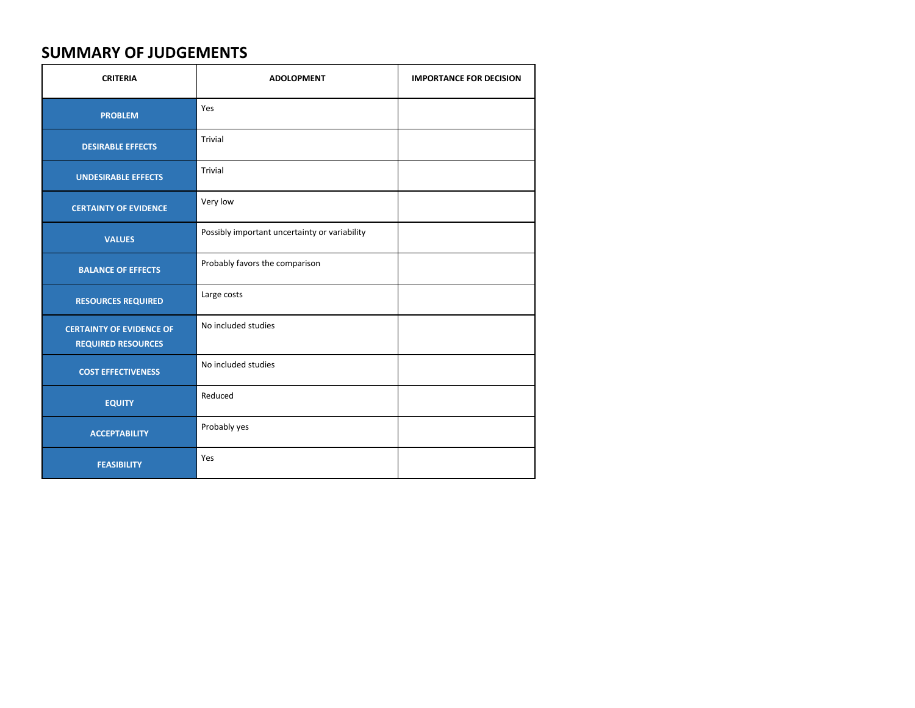# **SUMMARY OF JUDGEMENTS**

| <b>CRITERIA</b>                                              | <b>ADOLOPMENT</b>                             | <b>IMPORTANCE FOR DECISION</b> |
|--------------------------------------------------------------|-----------------------------------------------|--------------------------------|
| <b>PROBLEM</b>                                               | Yes                                           |                                |
| <b>DESIRABLE EFFECTS</b>                                     | Trivial                                       |                                |
| <b>UNDESIRABLE EFFECTS</b>                                   | Trivial                                       |                                |
| <b>CERTAINTY OF EVIDENCE</b>                                 | Very low                                      |                                |
| <b>VALUES</b>                                                | Possibly important uncertainty or variability |                                |
| <b>BALANCE OF EFFECTS</b>                                    | Probably favors the comparison                |                                |
| <b>RESOURCES REQUIRED</b>                                    | Large costs                                   |                                |
| <b>CERTAINTY OF EVIDENCE OF</b><br><b>REQUIRED RESOURCES</b> | No included studies                           |                                |
| <b>COST EFFECTIVENESS</b>                                    | No included studies                           |                                |
| <b>EQUITY</b>                                                | Reduced                                       |                                |
| <b>ACCEPTABILITY</b>                                         | Probably yes                                  |                                |
| <b>FEASIBILITY</b>                                           | Yes                                           |                                |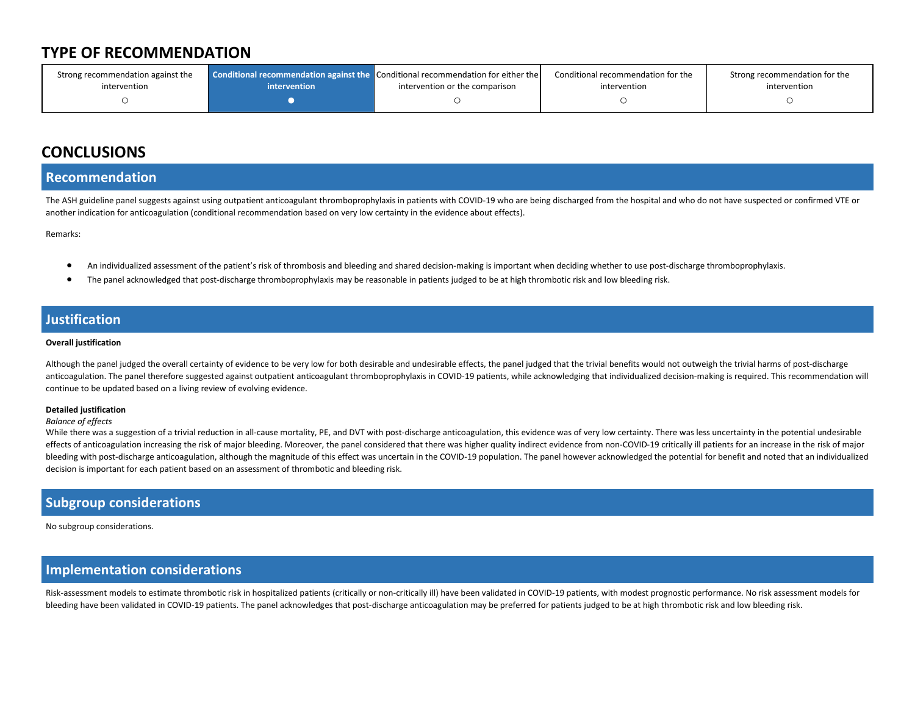# **TYPE OF RECOMMENDATION**

| Strong recommendation against the |              | Conditional recommendation against the Conditional recommendation for either the | Conditional recommendation for the | Strong recommendation for the |
|-----------------------------------|--------------|----------------------------------------------------------------------------------|------------------------------------|-------------------------------|
| intervention                      | intervention | intervention or the comparison                                                   | intervention                       | intervention                  |
|                                   |              |                                                                                  |                                    |                               |

# **CONCLUSIONS**

### **Recommendation**

The ASH guideline panel suggests against using outpatient anticoagulant thromboprophylaxis in patients with COVID-19 who are being discharged from the hospital and who do not have suspected or confirmed VTE or another indication for anticoagulation (conditional recommendation based on very low certainty in the evidence about effects).

Remarks:

- An individualized assessment of the patient's risk of thrombosis and bleeding and shared decision-making is important when deciding whether to use post-discharge thromboprophylaxis.
- The panel acknowledged that post-discharge thromboprophylaxis may be reasonable in patients judged to be at high thrombotic risk and low bleeding risk.

## **Justification**

### **Overall justification**

Although the panel judged the overall certainty of evidence to be very low for both desirable and undesirable effects, the panel judged that the trivial benefits would not outweigh the trivial harms of post-discharge anticoagulation. The panel therefore suggested against outpatient anticoagulant thromboprophylaxis in COVID-19 patients, while acknowledging that individualized decision-making is required. This recommendation will continue to be updated based on a living review of evolving evidence.

### **Detailed justification**

### *Balance of effects*

While there was a suggestion of a trivial reduction in all-cause mortality, PE, and DVT with post-discharge anticoagulation, this evidence was of very low certainty. There was less uncertainty in the potential undesirable effects of anticoagulation increasing the risk of major bleeding. Moreover, the panel considered that there was higher quality indirect evidence from non-COVID-19 critically ill patients for an increase in the risk of majo bleeding with post-discharge anticoagulation, although the magnitude of this effect was uncertain in the COVID-19 population. The panel however acknowledged the potential for benefit and noted that an individualized decision is important for each patient based on an assessment of thrombotic and bleeding risk.

## **Subgroup considerations**

No subgroup considerations.

## **Implementation considerations**

Risk-assessment models to estimate thrombotic risk in hospitalized patients (critically or non-critically ill) have been validated in COVID-19 patients, with modest prognostic performance. No risk assessment models for bleeding have been validated in COVID-19 patients. The panel acknowledges that post-discharge anticoagulation may be preferred for patients judged to be at high thrombotic risk and low bleeding risk.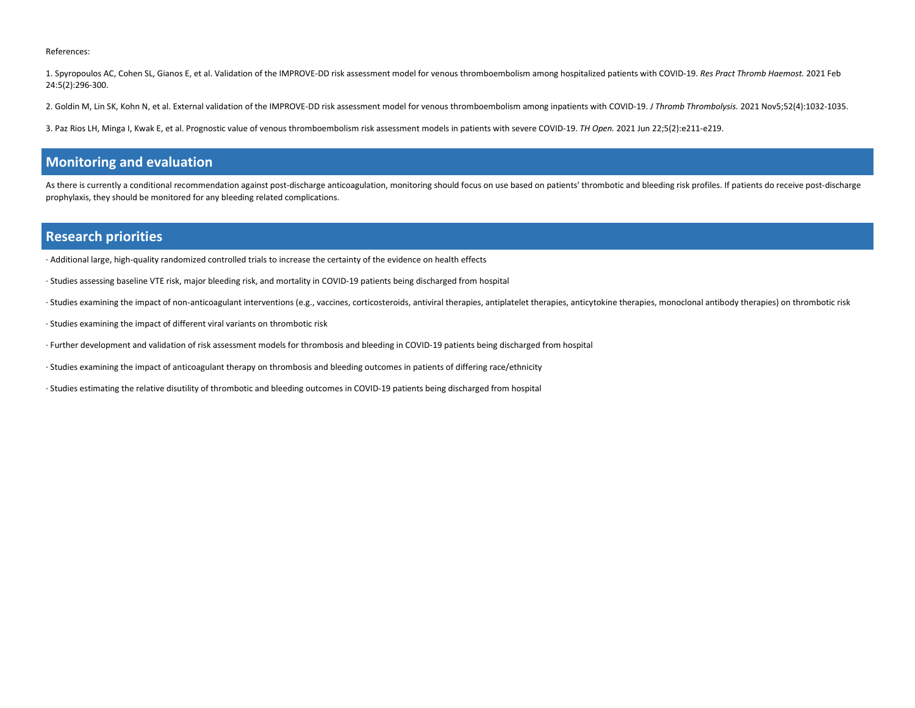#### References:

1. Spyropoulos AC, Cohen SL, Gianos E, et al. Validation of the IMPROVE-DD risk assessment model for venous thromboembolism among hospitalized patients with COVID-19. *Res Pract Thromb Haemost.* 2021 Feb 24:5(2):296-300.

- 2. Goldin M, Lin SK, Kohn N, et al. External validation of the IMPROVE-DD risk assessment model for venous thromboembolism among inpatients with COVID-19. *J Thromb Thrombolysis.* 2021 Nov5;52(4):1032-1035.
- 3. Paz Rios LH, Minga I, Kwak E, et al. Prognostic value of venous thromboembolism risk assessment models in patients with severe COVID-19. *TH Open.* 2021 Jun 22;5(2):e211-e219.

### **Monitoring and evaluation**

As there is currently a conditional recommendation against post-discharge anticoagulation, monitoring should focus on use based on patients' thrombotic and bleeding risk profiles. If patients do receive post-discharge prophylaxis, they should be monitored for any bleeding related complications.

### **Research priorities**

- · Additional large, high-quality randomized controlled trials to increase the certainty of the evidence on health effects
- · Studies assessing baseline VTE risk, major bleeding risk, and mortality in COVID-19 patients being discharged from hospital
- · Studies examining the impact of non-anticoagulant interventions (e.g., vaccines, corticosteroids, antiviral therapies, antiplatelet therapies, anticytokine therapies, monoclonal antibody therapies) on thrombotic risk
- · Studies examining the impact of different viral variants on thrombotic risk
- · Further development and validation of risk assessment models for thrombosis and bleeding in COVID-19 patients being discharged from hospital
- · Studies examining the impact of anticoagulant therapy on thrombosis and bleeding outcomes in patients of differing race/ethnicity
- · Studies estimating the relative disutility of thrombotic and bleeding outcomes in COVID-19 patients being discharged from hospital